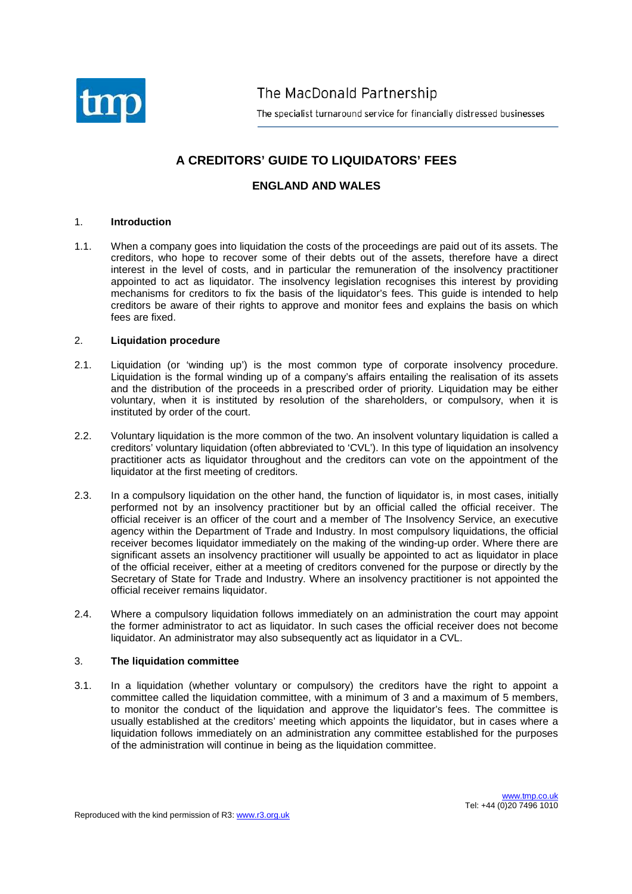

The MacDonald Partnership

The specialist turnaround service for financially distressed businesses

# **A CREDITORS' GUIDE TO LIQUIDATORS' FEES**

# **ENGLAND AND WALES**

# 1. **Introduction**

1.1. When a company goes into liquidation the costs of the proceedings are paid out of its assets. The creditors, who hope to recover some of their debts out of the assets, therefore have a direct interest in the level of costs, and in particular the remuneration of the insolvency practitioner appointed to act as liquidator. The insolvency legislation recognises this interest by providing mechanisms for creditors to fix the basis of the liquidator's fees. This guide is intended to help creditors be aware of their rights to approve and monitor fees and explains the basis on which fees are fixed.

# 2. **Liquidation procedure**

- 2.1. Liquidation (or 'winding up') is the most common type of corporate insolvency procedure. Liquidation is the formal winding up of a company's affairs entailing the realisation of its assets and the distribution of the proceeds in a prescribed order of priority. Liquidation may be either voluntary, when it is instituted by resolution of the shareholders, or compulsory, when it is instituted by order of the court.
- 2.2. Voluntary liquidation is the more common of the two. An insolvent voluntary liquidation is called a creditors' voluntary liquidation (often abbreviated to 'CVL'). In this type of liquidation an insolvency practitioner acts as liquidator throughout and the creditors can vote on the appointment of the liquidator at the first meeting of creditors.
- 2.3. In a compulsory liquidation on the other hand, the function of liquidator is, in most cases, initially performed not by an insolvency practitioner but by an official called the official receiver. The official receiver is an officer of the court and a member of The Insolvency Service, an executive agency within the Department of Trade and Industry. In most compulsory liquidations, the official receiver becomes liquidator immediately on the making of the winding-up order. Where there are significant assets an insolvency practitioner will usually be appointed to act as liquidator in place of the official receiver, either at a meeting of creditors convened for the purpose or directly by the Secretary of State for Trade and Industry. Where an insolvency practitioner is not appointed the official receiver remains liquidator.
- 2.4. Where a compulsory liquidation follows immediately on an administration the court may appoint the former administrator to act as liquidator. In such cases the official receiver does not become liquidator. An administrator may also subsequently act as liquidator in a CVL.

# 3. **The liquidation committee**

3.1. In a liquidation (whether voluntary or compulsory) the creditors have the right to appoint a committee called the liquidation committee, with a minimum of 3 and a maximum of 5 members, to monitor the conduct of the liquidation and approve the liquidator's fees. The committee is usually established at the creditors' meeting which appoints the liquidator, but in cases where a liquidation follows immediately on an administration any committee established for the purposes of the administration will continue in being as the liquidation committee.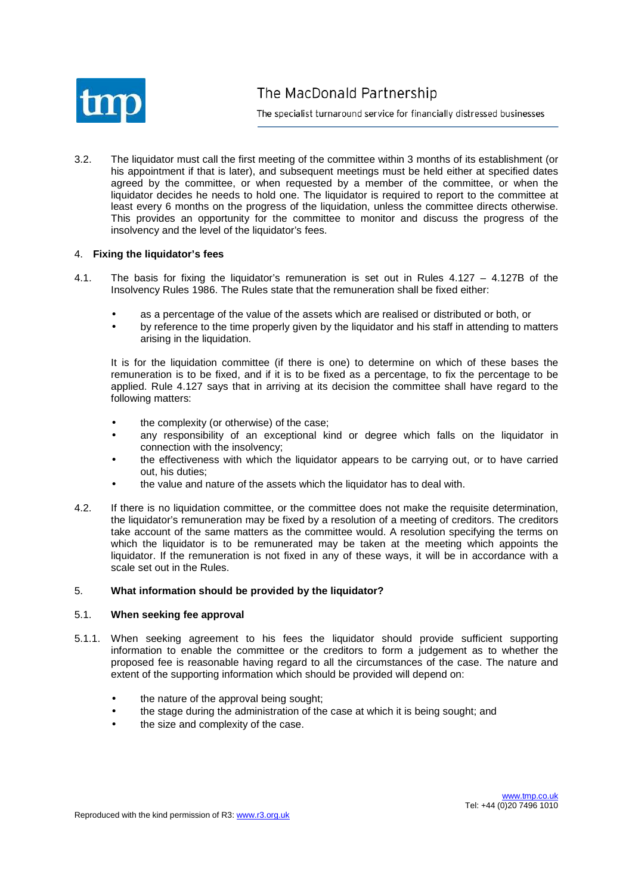

3.2. The liquidator must call the first meeting of the committee within 3 months of its establishment (or his appointment if that is later), and subsequent meetings must be held either at specified dates agreed by the committee, or when requested by a member of the committee, or when the liquidator decides he needs to hold one. The liquidator is required to report to the committee at least every 6 months on the progress of the liquidation, unless the committee directs otherwise. This provides an opportunity for the committee to monitor and discuss the progress of the insolvency and the level of the liquidator's fees.

# 4. **Fixing the liquidator's fees**

- 4.1. The basis for fixing the liquidator's remuneration is set out in Rules 4.127 4.127B of the Insolvency Rules 1986. The Rules state that the remuneration shall be fixed either:
	- as a percentage of the value of the assets which are realised or distributed or both, or
	- by reference to the time properly given by the liquidator and his staff in attending to matters arising in the liquidation.

It is for the liquidation committee (if there is one) to determine on which of these bases the remuneration is to be fixed, and if it is to be fixed as a percentage, to fix the percentage to be applied. Rule 4.127 says that in arriving at its decision the committee shall have regard to the following matters:

- the complexity (or otherwise) of the case;
- any responsibility of an exceptional kind or degree which falls on the liquidator in connection with the insolvency;
- the effectiveness with which the liquidator appears to be carrying out, or to have carried out, his duties;
- the value and nature of the assets which the liquidator has to deal with.
- 4.2. If there is no liquidation committee, or the committee does not make the requisite determination, the liquidator's remuneration may be fixed by a resolution of a meeting of creditors. The creditors take account of the same matters as the committee would. A resolution specifying the terms on which the liquidator is to be remunerated may be taken at the meeting which appoints the liquidator. If the remuneration is not fixed in any of these ways, it will be in accordance with a scale set out in the Rules.

# 5. **What information should be provided by the liquidator?**

# 5.1. **When seeking fee approval**

- 5.1.1. When seeking agreement to his fees the liquidator should provide sufficient supporting information to enable the committee or the creditors to form a judgement as to whether the proposed fee is reasonable having regard to all the circumstances of the case. The nature and extent of the supporting information which should be provided will depend on:
	- the nature of the approval being sought;
	- the stage during the administration of the case at which it is being sought; and
	- the size and complexity of the case.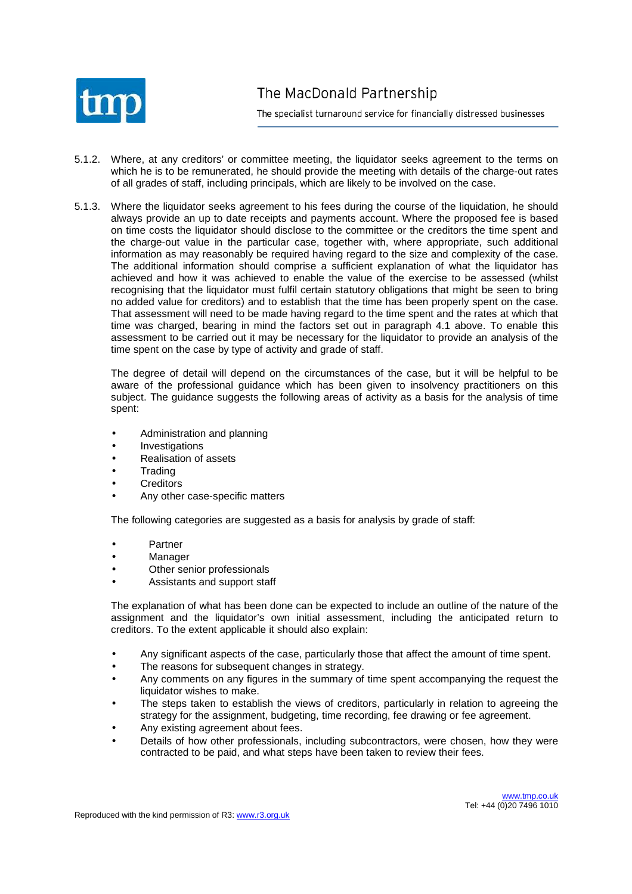

- 5.1.2. Where, at any creditors' or committee meeting, the liquidator seeks agreement to the terms on which he is to be remunerated, he should provide the meeting with details of the charge-out rates of all grades of staff, including principals, which are likely to be involved on the case.
- 5.1.3. Where the liquidator seeks agreement to his fees during the course of the liquidation, he should always provide an up to date receipts and payments account. Where the proposed fee is based on time costs the liquidator should disclose to the committee or the creditors the time spent and the charge-out value in the particular case, together with, where appropriate, such additional information as may reasonably be required having regard to the size and complexity of the case. The additional information should comprise a sufficient explanation of what the liquidator has achieved and how it was achieved to enable the value of the exercise to be assessed (whilst recognising that the liquidator must fulfil certain statutory obligations that might be seen to bring no added value for creditors) and to establish that the time has been properly spent on the case. That assessment will need to be made having regard to the time spent and the rates at which that time was charged, bearing in mind the factors set out in paragraph 4.1 above. To enable this assessment to be carried out it may be necessary for the liquidator to provide an analysis of the time spent on the case by type of activity and grade of staff.

The degree of detail will depend on the circumstances of the case, but it will be helpful to be aware of the professional guidance which has been given to insolvency practitioners on this subject. The guidance suggests the following areas of activity as a basis for the analysis of time spent:

- Administration and planning
- **Investigations**
- Realisation of assets
- **Trading**
- **Creditors**
- Any other case-specific matters

The following categories are suggested as a basis for analysis by grade of staff:

- **Partner**
- **Manager**
- Other senior professionals
- Assistants and support staff

The explanation of what has been done can be expected to include an outline of the nature of the assignment and the liquidator's own initial assessment, including the anticipated return to creditors. To the extent applicable it should also explain:

- Any significant aspects of the case, particularly those that affect the amount of time spent.
- The reasons for subsequent changes in strategy.
- Any comments on any figures in the summary of time spent accompanying the request the liquidator wishes to make.
- The steps taken to establish the views of creditors, particularly in relation to agreeing the strategy for the assignment, budgeting, time recording, fee drawing or fee agreement.
- Any existing agreement about fees.
- Details of how other professionals, including subcontractors, were chosen, how they were contracted to be paid, and what steps have been taken to review their fees.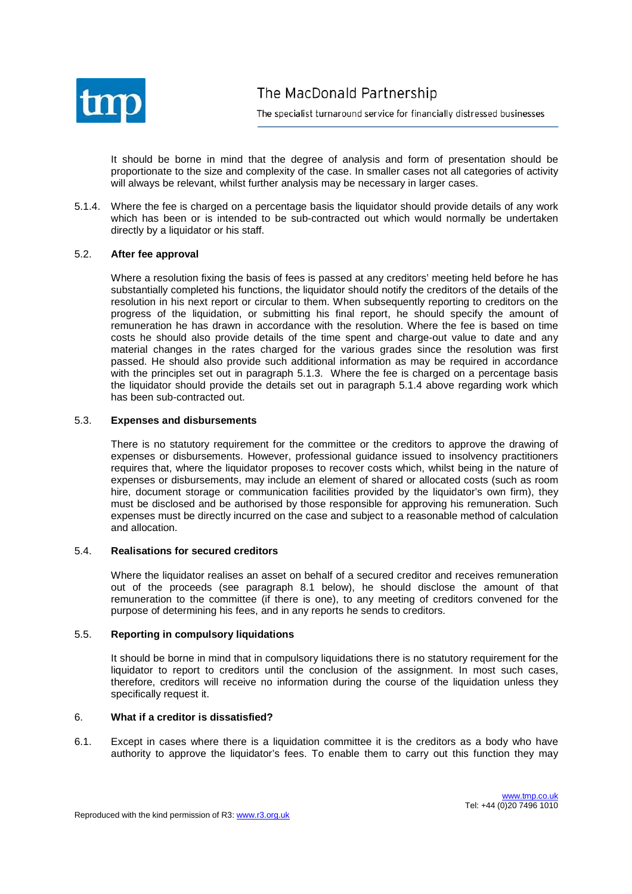

It should be borne in mind that the degree of analysis and form of presentation should be proportionate to the size and complexity of the case. In smaller cases not all categories of activity will always be relevant, whilst further analysis may be necessary in larger cases.

5.1.4. Where the fee is charged on a percentage basis the liquidator should provide details of any work which has been or is intended to be sub-contracted out which would normally be undertaken directly by a liquidator or his staff.

# 5.2. **After fee approval**

Where a resolution fixing the basis of fees is passed at any creditors' meeting held before he has substantially completed his functions, the liquidator should notify the creditors of the details of the resolution in his next report or circular to them. When subsequently reporting to creditors on the progress of the liquidation, or submitting his final report, he should specify the amount of remuneration he has drawn in accordance with the resolution. Where the fee is based on time costs he should also provide details of the time spent and charge-out value to date and any material changes in the rates charged for the various grades since the resolution was first passed. He should also provide such additional information as may be required in accordance with the principles set out in paragraph 5.1.3. Where the fee is charged on a percentage basis the liquidator should provide the details set out in paragraph 5.1.4 above regarding work which has been sub-contracted out.

# 5.3. **Expenses and disbursements**

There is no statutory requirement for the committee or the creditors to approve the drawing of expenses or disbursements. However, professional guidance issued to insolvency practitioners requires that, where the liquidator proposes to recover costs which, whilst being in the nature of expenses or disbursements, may include an element of shared or allocated costs (such as room hire, document storage or communication facilities provided by the liquidator's own firm), they must be disclosed and be authorised by those responsible for approving his remuneration. Such expenses must be directly incurred on the case and subject to a reasonable method of calculation and allocation.

# 5.4. **Realisations for secured creditors**

Where the liquidator realises an asset on behalf of a secured creditor and receives remuneration out of the proceeds (see paragraph 8.1 below), he should disclose the amount of that remuneration to the committee (if there is one), to any meeting of creditors convened for the purpose of determining his fees, and in any reports he sends to creditors.

# 5.5. **Reporting in compulsory liquidations**

It should be borne in mind that in compulsory liquidations there is no statutory requirement for the liquidator to report to creditors until the conclusion of the assignment. In most such cases, therefore, creditors will receive no information during the course of the liquidation unless they specifically request it.

# 6. **What if a creditor is dissatisfied?**

6.1. Except in cases where there is a liquidation committee it is the creditors as a body who have authority to approve the liquidator's fees. To enable them to carry out this function they may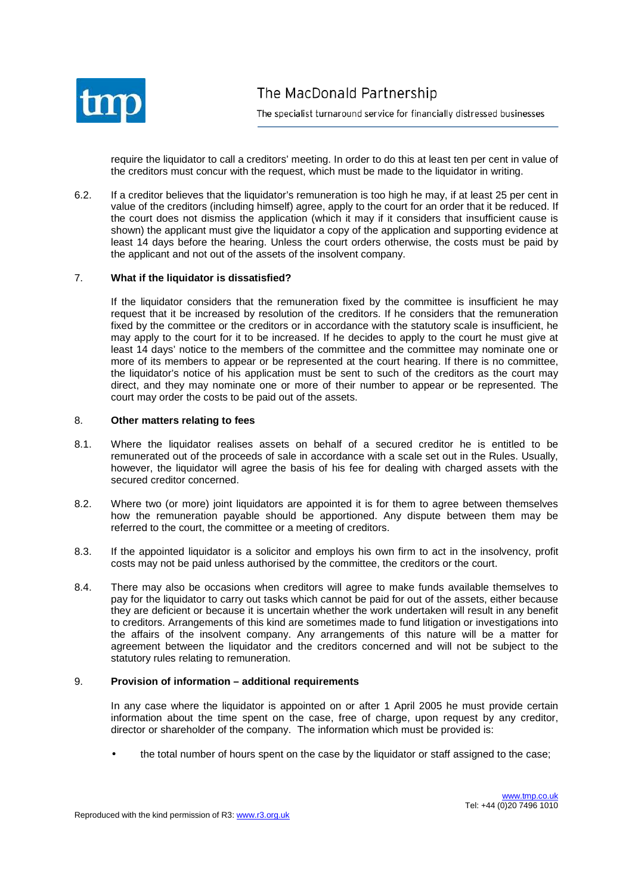

require the liquidator to call a creditors' meeting. In order to do this at least ten per cent in value of the creditors must concur with the request, which must be made to the liquidator in writing.

6.2. If a creditor believes that the liquidator's remuneration is too high he may, if at least 25 per cent in value of the creditors (including himself) agree, apply to the court for an order that it be reduced. If the court does not dismiss the application (which it may if it considers that insufficient cause is shown) the applicant must give the liquidator a copy of the application and supporting evidence at least 14 days before the hearing. Unless the court orders otherwise, the costs must be paid by the applicant and not out of the assets of the insolvent company.

# 7. **What if the liquidator is dissatisfied?**

If the liquidator considers that the remuneration fixed by the committee is insufficient he may request that it be increased by resolution of the creditors. If he considers that the remuneration fixed by the committee or the creditors or in accordance with the statutory scale is insufficient, he may apply to the court for it to be increased. If he decides to apply to the court he must give at least 14 days' notice to the members of the committee and the committee may nominate one or more of its members to appear or be represented at the court hearing. If there is no committee, the liquidator's notice of his application must be sent to such of the creditors as the court may direct, and they may nominate one or more of their number to appear or be represented. The court may order the costs to be paid out of the assets.

# 8. **Other matters relating to fees**

- 8.1. Where the liquidator realises assets on behalf of a secured creditor he is entitled to be remunerated out of the proceeds of sale in accordance with a scale set out in the Rules. Usually, however, the liquidator will agree the basis of his fee for dealing with charged assets with the secured creditor concerned.
- 8.2. Where two (or more) joint liquidators are appointed it is for them to agree between themselves how the remuneration payable should be apportioned. Any dispute between them may be referred to the court, the committee or a meeting of creditors.
- 8.3. If the appointed liquidator is a solicitor and employs his own firm to act in the insolvency, profit costs may not be paid unless authorised by the committee, the creditors or the court.
- 8.4. There may also be occasions when creditors will agree to make funds available themselves to pay for the liquidator to carry out tasks which cannot be paid for out of the assets, either because they are deficient or because it is uncertain whether the work undertaken will result in any benefit to creditors. Arrangements of this kind are sometimes made to fund litigation or investigations into the affairs of the insolvent company. Any arrangements of this nature will be a matter for agreement between the liquidator and the creditors concerned and will not be subject to the statutory rules relating to remuneration.

# 9. **Provision of information – additional requirements**

In any case where the liquidator is appointed on or after 1 April 2005 he must provide certain information about the time spent on the case, free of charge, upon request by any creditor, director or shareholder of the company. The information which must be provided is:

• the total number of hours spent on the case by the liquidator or staff assigned to the case;